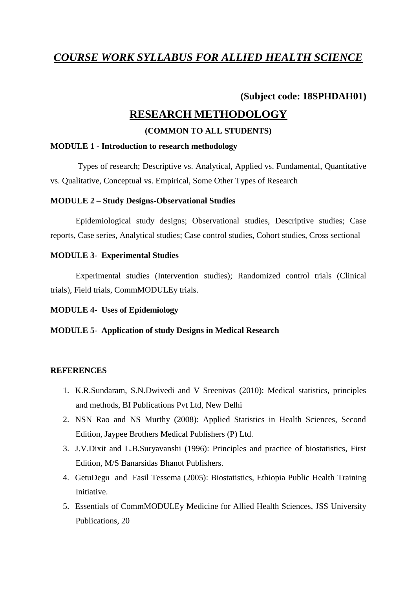# *COURSE WORK SYLLABUS FOR ALLIED HEALTH SCIENCE*

## **(Subject code: 18SPHDAH01)**

# **RESEARCH METHODOLOGY**

#### **(COMMON TO ALL STUDENTS)**

#### **MODULE 1 - Introduction to research methodology**

Types of research; Descriptive vs. Analytical, Applied vs. Fundamental, Quantitative vs. Qualitative, Conceptual vs. Empirical, Some Other Types of Research

#### **MODULE 2 – Study Designs-Observational Studies**

Epidemiological study designs; Observational studies, Descriptive studies; Case reports, Case series, Analytical studies; Case control studies, Cohort studies, Cross sectional

#### **MODULE 3- Experimental Studies**

Experimental studies (Intervention studies); Randomized control trials (Clinical trials), Field trials, CommMODULEy trials.

#### **MODULE 4- Uses of Epidemiology**

#### **MODULE 5- Application of study Designs in Medical Research**

#### **REFERENCES**

- 1. K.R.Sundaram, S.N.Dwivedi and V Sreenivas (2010): Medical statistics, principles and methods, BI Publications Pvt Ltd, New Delhi
- 2. NSN Rao and NS Murthy (2008): Applied Statistics in Health Sciences, Second Edition, Jaypee Brothers Medical Publishers (P) Ltd.
- 3. J.V.Dixit and L.B.Suryavanshi (1996): Principles and practice of biostatistics, First Edition, M/S Banarsidas Bhanot Publishers.
- 4. GetuDegu and Fasil Tessema (2005): Biostatistics, Ethiopia Public Health Training Initiative.
- 5. Essentials of CommMODULEy Medicine for Allied Health Sciences, JSS University Publications, 20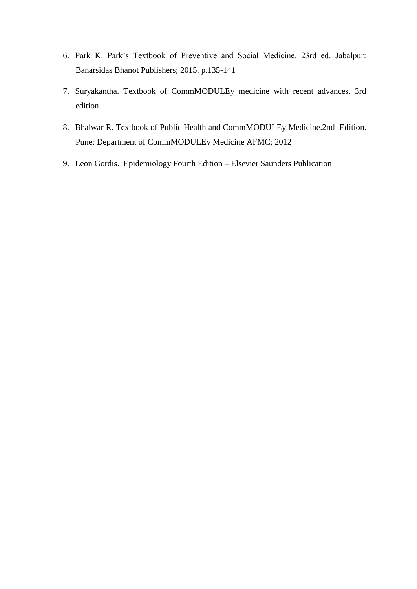- 6. Park K. Park's Textbook of Preventive and Social Medicine. 23rd ed. Jabalpur: Banarsidas Bhanot Publishers; 2015. p.135-141
- 7. Suryakantha. Textbook of CommMODULEy medicine with recent advances. 3rd edition.
- 8. Bhalwar R. Textbook of Public Health and CommMODULEy Medicine.2nd Edition. Pune: Department of CommMODULEy Medicine AFMC; 2012
- 9. Leon Gordis. Epidemiology Fourth Edition Elsevier Saunders Publication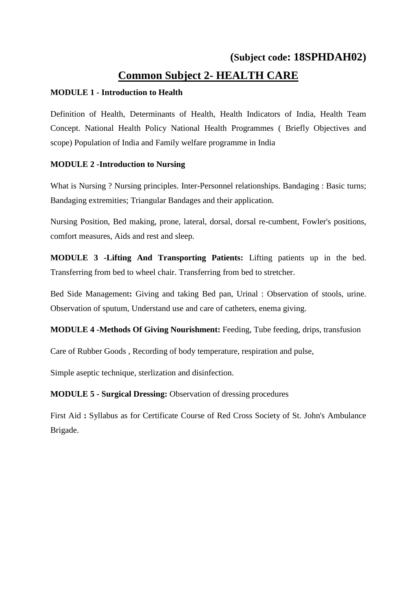# **(Subject code: 18SPHDAH02) Common Subject 2- HEALTH CARE**

#### **MODULE 1 - Introduction to Health**

Definition of Health, Determinants of Health, Health Indicators of India, Health Team Concept. National Health Policy National Health Programmes ( Briefly Objectives and scope) Population of India and Family welfare programme in India

## **MODULE 2 -Introduction to Nursing**

What is Nursing ? Nursing principles. Inter-Personnel relationships. Bandaging : Basic turns; Bandaging extremities; Triangular Bandages and their application.

Nursing Position, Bed making, prone, lateral, dorsal, dorsal re-cumbent, Fowler's positions, comfort measures, Aids and rest and sleep.

**MODULE 3 -Lifting And Transporting Patients:** Lifting patients up in the bed. Transferring from bed to wheel chair. Transferring from bed to stretcher.

Bed Side Management**:** Giving and taking Bed pan, Urinal : Observation of stools, urine. Observation of sputum, Understand use and care of catheters, enema giving.

## **MODULE 4 -Methods Of Giving Nourishment:** Feeding, Tube feeding, drips, transfusion

Care of Rubber Goods , Recording of body temperature, respiration and pulse,

Simple aseptic technique, sterlization and disinfection.

**MODULE 5 - Surgical Dressing:** Observation of dressing procedures

First Aid **:** Syllabus as for Certificate Course of Red Cross Society of St. John's Ambulance Brigade.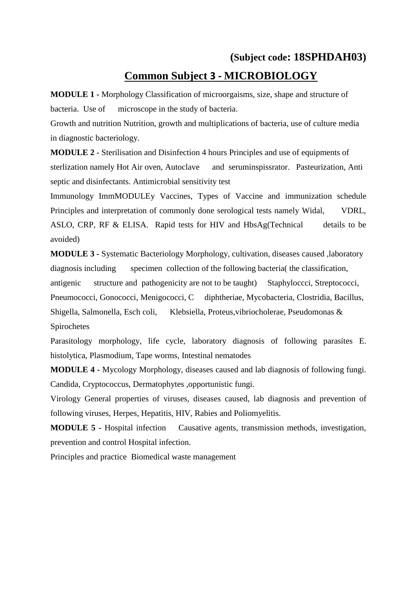# **(Subject code: 18SPHDAH03) Common Subject 3 - MICROBIOLOGY**

**MODULE 1 -** Morphology Classification of microorgaisms, size, shape and structure of bacteria. Use of microscope in the study of bacteria.

Growth and nutrition Nutrition, growth and multiplications of bacteria, use of culture media in diagnostic bacteriology.

**MODULE 2 -** Sterilisation and Disinfection 4 hours Principles and use of equipments of sterlization namely Hot Air oven, Autoclave and seruminspissrator. Pasteurization, Anti septic and disinfectants. Antimicrobial sensitivity test

Immunology ImmMODULEy Vaccines, Types of Vaccine and immunization schedule Principles and interpretation of commonly done serological tests namely Widal, VDRL, ASLO, CRP, RF & ELISA. Rapid tests for HIV and HbsAg(Technical details to be avoided)

**MODULE 3 -** Systematic Bacteriology Morphology, cultivation, diseases caused ,laboratory diagnosis including specimen collection of the following bacteria( the classification, antigenic structure and pathogenicity are not to be taught) Staphyloccci, Streptococci, Pneumococci, Gonococci, Menigococci, C diphtheriae, Mycobacteria, Clostridia, Bacillus, Shigella, Salmonella, Esch coli, Klebsiella, Proteus,vibriocholerae, Pseudomonas & Spirochetes

Parasitology morphology, life cycle, laboratory diagnosis of following parasites E. histolytica, Plasmodium, Tape worms, Intestinal nematodes

**MODULE 4 -** Mycology Morphology, diseases caused and lab diagnosis of following fungi. Candida, Cryptococcus, Dermatophytes ,opportunistic fungi.

Virology General properties of viruses, diseases caused, lab diagnosis and prevention of following viruses, Herpes, Hepatitis, HIV, Rabies and Poliomyelitis.

**MODULE 5 -** Hospital infection Causative agents, transmission methods, investigation, prevention and control Hospital infection.

Principles and practice Biomedical waste management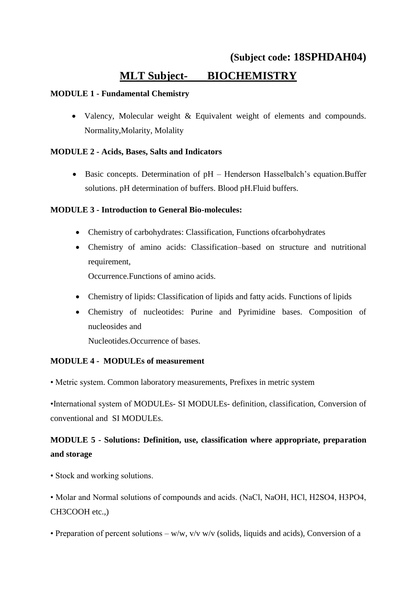# **(Subject code: 18SPHDAH04) MLT Subject- BIOCHEMISTRY**

## **MODULE 1 - Fundamental Chemistry**

• Valency, Molecular weight & Equivalent weight of elements and compounds. Normality,Molarity, Molality

## **MODULE 2 - Acids, Bases, Salts and Indicators**

• Basic concepts. Determination of pH – Henderson Hasselbalch's equation.Buffer solutions. pH determination of buffers. Blood pH.Fluid buffers.

## **MODULE 3 - Introduction to General Bio-molecules:**

- Chemistry of carbohydrates: Classification, Functions ofcarbohydrates
- Chemistry of amino acids: Classification–based on structure and nutritional requirement,

Occurrence.Functions of amino acids.

- Chemistry of lipids: Classification of lipids and fatty acids. Functions of lipids
- Chemistry of nucleotides: Purine and Pyrimidine bases. Composition of nucleosides and

Nucleotides.Occurrence of bases.

#### **MODULE 4 - MODULEs of measurement**

• Metric system. Common laboratory measurements, Prefixes in metric system

•International system of MODULEs- SI MODULEs- definition, classification, Conversion of conventional and SI MODULEs.

# **MODULE 5 - Solutions: Definition, use, classification where appropriate, preparation and storage**

• Stock and working solutions.

• Molar and Normal solutions of compounds and acids. (NaCl, NaOH, HCl, H2SO4, H3PO4, CH3COOH etc.,)

• Preparation of percent solutions – w/w,  $v/v$  w/v (solids, liquids and acids), Conversion of a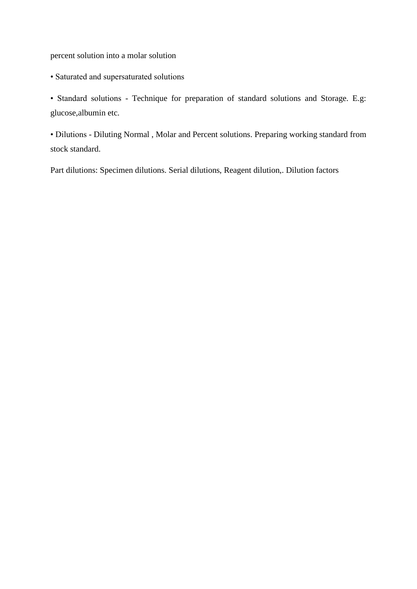percent solution into a molar solution

• Saturated and supersaturated solutions

• Standard solutions - Technique for preparation of standard solutions and Storage. E.g: glucose,albumin etc.

• Dilutions - Diluting Normal , Molar and Percent solutions. Preparing working standard from stock standard.

Part dilutions: Specimen dilutions. Serial dilutions, Reagent dilution,. Dilution factors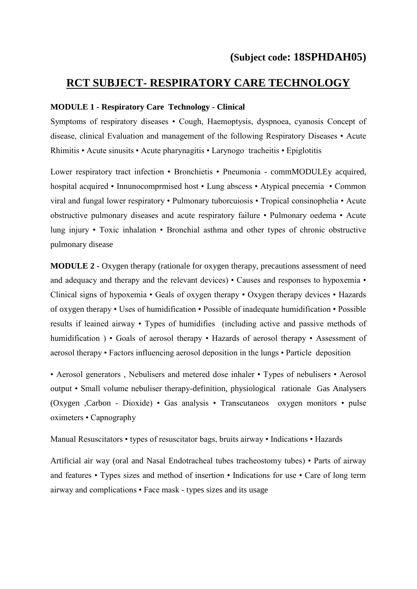## **RCT SUBJECT- RESPIRATORY CARE TECHNOLOGY**

#### **MODULE 1 - Respiratory Care Technology - Clinical**

Symptoms of respiratory diseases • Cough, Haemoptysis, dyspnoea, cyanosis Concept of disease, clinical Evaluation and management of the following Respiratory Diseases • Acute Rhimitis • Acute sinusits • Acute pharynagitis • Larynogo tracheitis • Epiglotitis

Lower respiratory tract infection • Bronchietis • Pneumonia - commMODULEy acquired, hospital acquired • Innunocomprmised host • Lung abscess • Atypical pnecemia • Common viral and fungal lower respiratory • Pulmonary tuborcuiosis • Tropical consinophelia • Acute obstructive pulmonary diseases and acute respiratory failure • Pulmonary oedema • Acute lung injury • Toxic inhalation • Bronchial asthma and other types of chronic obstructive pulmonary disease

**MODULE 2 -** Oxygen therapy (rationale for oxygen therapy, precautions assessment of need and adequacy and therapy and the relevant devices) • Causes and responses to hypoxemia • Clinical signs of hypoxemia • Geals of oxygen therapy • Oxygen therapy devices • Hazards of oxygen therapy • Uses of humidification • Possible of inadequate humidification • Possible results if leained airway • Types of humidifies (including active and passive methods of humidification ) • Goals of aerosol therapy • Hazards of aerosol therapy • Assessment of aerosol therapy • Factors influencing aerosol deposition in the lungs • Particle deposition

• Aerosol generators , Nebulisers and metered dose inhaler • Types of nebulisers • Aerosol output • Small volume nebuliser therapy-definition, physiological rationale Gas Analysers (Oxygen ,Carbon - Dioxide) • Gas analysis • Transcutaneos oxygen monitors • pulse oximeters • Capnography

Manual Resuscitators • types of resuscitator bags, bruits airway • Indications • Hazards

Artificial air way (oral and Nasal Endotracheal tubes tracheostomy tubes) • Parts of airway and features • Types sizes and method of insertion • Indications for use • Care of long term airway and complications • Face mask - types sizes and its usage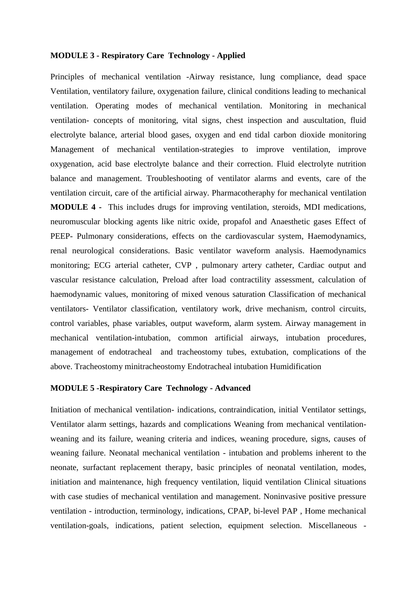#### **MODULE 3 - Respiratory Care Technology - Applied**

Principles of mechanical ventilation -Airway resistance, lung compliance, dead space Ventilation, ventilatory failure, oxygenation failure, clinical conditions leading to mechanical ventilation. Operating modes of mechanical ventilation. Monitoring in mechanical ventilation- concepts of monitoring, vital signs, chest inspection and auscultation, fluid electrolyte balance, arterial blood gases, oxygen and end tidal carbon dioxide monitoring Management of mechanical ventilation-strategies to improve ventilation, improve oxygenation, acid base electrolyte balance and their correction. Fluid electrolyte nutrition balance and management. Troubleshooting of ventilator alarms and events, care of the ventilation circuit, care of the artificial airway. Pharmacotheraphy for mechanical ventilation **MODULE 4 -** This includes drugs for improving ventilation, steroids, MDI medications, neuromuscular blocking agents like nitric oxide, propafol and Anaesthetic gases Effect of PEEP- Pulmonary considerations, effects on the cardiovascular system, Haemodynamics, renal neurological considerations. Basic ventilator waveform analysis. Haemodynamics monitoring; ECG arterial catheter, CVP , pulmonary artery catheter, Cardiac output and vascular resistance calculation, Preload after load contractility assessment, calculation of haemodynamic values, monitoring of mixed venous saturation Classification of mechanical ventilators- Ventilator classification, ventilatory work, drive mechanism, control circuits, control variables, phase variables, output waveform, alarm system. Airway management in mechanical ventilation-intubation, common artificial airways, intubation procedures, management of endotracheal and tracheostomy tubes, extubation, complications of the above. Tracheostomy minitracheostomy Endotracheal intubation Humidification

#### **MODULE 5 -Respiratory Care Technology - Advanced**

Initiation of mechanical ventilation- indications, contraindication, initial Ventilator settings, Ventilator alarm settings, hazards and complications Weaning from mechanical ventilationweaning and its failure, weaning criteria and indices, weaning procedure, signs, causes of weaning failure. Neonatal mechanical ventilation - intubation and problems inherent to the neonate, surfactant replacement therapy, basic principles of neonatal ventilation, modes, initiation and maintenance, high frequency ventilation, liquid ventilation Clinical situations with case studies of mechanical ventilation and management. Noninvasive positive pressure ventilation - introduction, terminology, indications, CPAP, bi-level PAP , Home mechanical ventilation-goals, indications, patient selection, equipment selection. Miscellaneous -